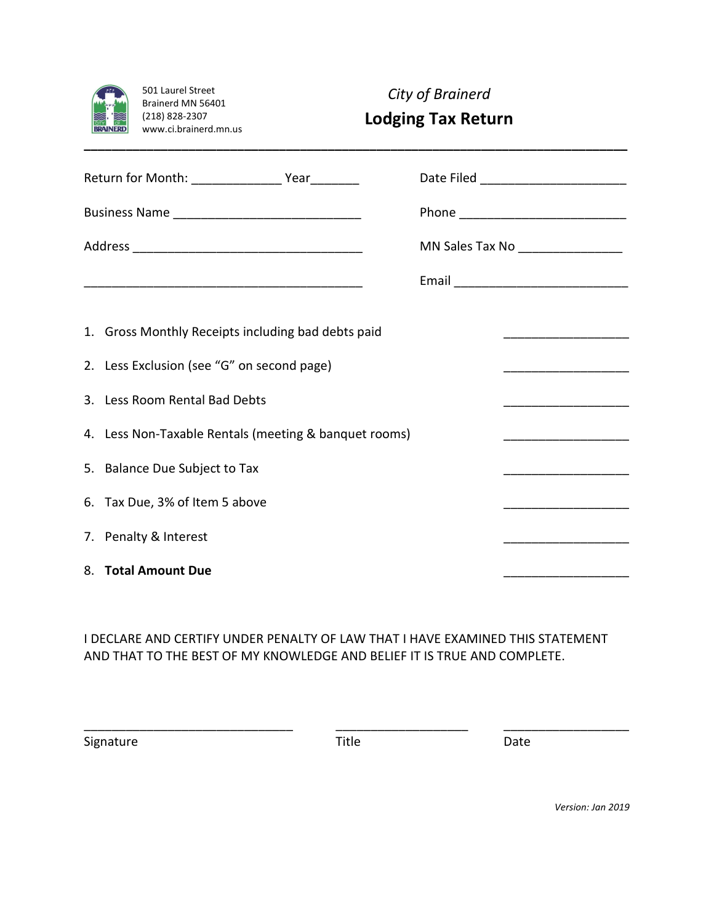|     | 501 Laurel Street     |
|-----|-----------------------|
|     | Brainerd MN 56401     |
|     | (218) 828-2307        |
| :17 | www.ci.brainerd.mn.us |

*City of Brainerd*

## **Lodging Tax Return**

|                                                       |                                                                                                                                                                      | MN Sales Tax No ___________________                                                                                  |  |
|-------------------------------------------------------|----------------------------------------------------------------------------------------------------------------------------------------------------------------------|----------------------------------------------------------------------------------------------------------------------|--|
|                                                       |                                                                                                                                                                      |                                                                                                                      |  |
|                                                       | 1. Gross Monthly Receipts including bad debts paid                                                                                                                   |                                                                                                                      |  |
|                                                       | <u> 1989 - Johann Stein, mars an deus an deus an deus an deus an deus an deus an deus an deus an deus an deus an d</u><br>2. Less Exclusion (see "G" on second page) |                                                                                                                      |  |
|                                                       | 3. Less Room Rental Bad Debts                                                                                                                                        |                                                                                                                      |  |
| 4. Less Non-Taxable Rentals (meeting & banquet rooms) |                                                                                                                                                                      |                                                                                                                      |  |
|                                                       | 5. Balance Due Subject to Tax                                                                                                                                        |                                                                                                                      |  |
|                                                       | 6. Tax Due, 3% of Item 5 above                                                                                                                                       |                                                                                                                      |  |
|                                                       | 7. Penalty & Interest                                                                                                                                                | <u> 1980 - Johann Barn, mars eta bat eta bat eta bat eta bat eta bat ez erroman ez erroman ez erroman ez erroman</u> |  |
|                                                       | 8. Total Amount Due                                                                                                                                                  |                                                                                                                      |  |

**\_\_\_\_\_\_\_\_\_\_\_\_\_\_\_\_\_\_\_\_\_\_\_\_\_\_\_\_\_\_\_\_\_\_\_\_\_\_\_\_\_\_\_\_\_\_\_\_\_\_\_\_\_\_\_\_\_\_\_\_\_\_\_\_\_\_\_\_\_\_\_\_\_\_\_\_\_\_**

I DECLARE AND CERTIFY UNDER PENALTY OF LAW THAT I HAVE EXAMINED THIS STATEMENT AND THAT TO THE BEST OF MY KNOWLEDGE AND BELIEF IT IS TRUE AND COMPLETE.

Signature Date Title Date

\_\_\_\_\_\_\_\_\_\_\_\_\_\_\_\_\_\_\_\_\_\_\_\_\_\_\_\_\_\_ \_\_\_\_\_\_\_\_\_\_\_\_\_\_\_\_\_\_\_ \_\_\_\_\_\_\_\_\_\_\_\_\_\_\_\_\_\_

*Version: Jan 2019*